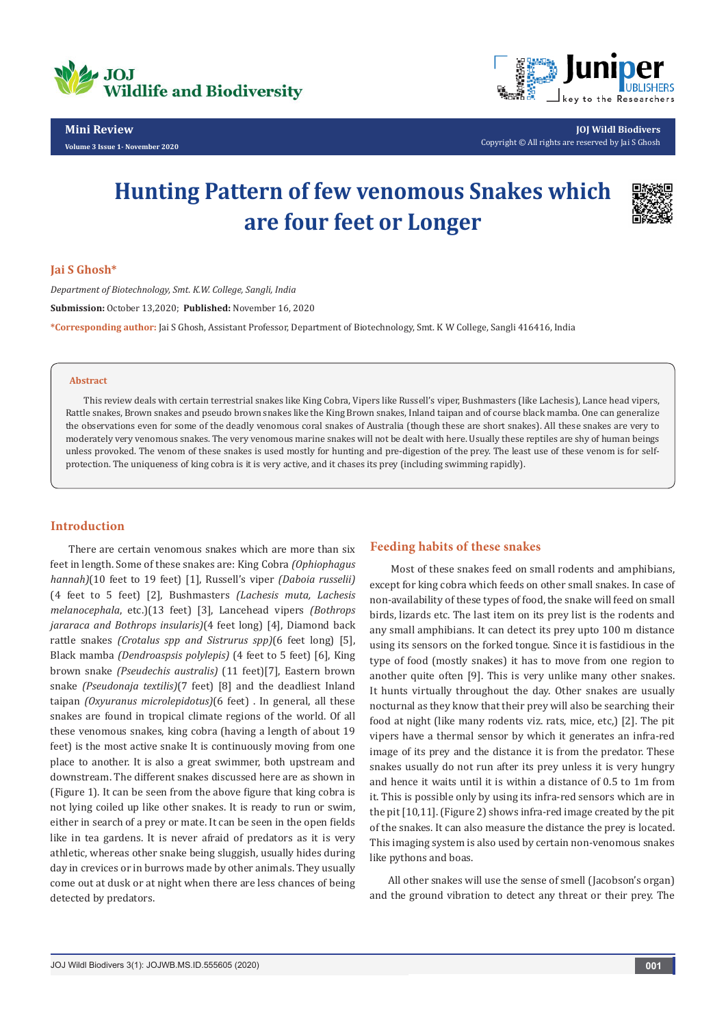

**Volume 3 Issue 1- November 2020**



**JOJ Wildl Biodivers** Copyright © All rights are reserved by Jai S Ghosh

# **Hunting Pattern of few venomous Snakes which are four feet or Longer**



#### **Jai S Ghosh\***

*Department of Biotechnology, Smt. K.W. College, Sangli, India* **Submission:** October 13,2020; **Published:** November 16, 2020 **\*Corresponding author:** Jai S Ghosh, Assistant Professor, Department of Biotechnology, Smt. K W College, Sangli 416416, India

#### **Abstract**

This review deals with certain terrestrial snakes like King Cobra, Vipers like Russell's viper, Bushmasters (like Lachesis), Lance head vipers, Rattle snakes, Brown snakes and pseudo brown snakes like the King Brown snakes, Inland taipan and of course black mamba. One can generalize the observations even for some of the deadly venomous coral snakes of Australia (though these are short snakes). All these snakes are very to moderately very venomous snakes. The very venomous marine snakes will not be dealt with here. Usually these reptiles are shy of human beings unless provoked. The venom of these snakes is used mostly for hunting and pre-digestion of the prey. The least use of these venom is for selfprotection. The uniqueness of king cobra is it is very active, and it chases its prey (including swimming rapidly).

## **Introduction**

There are certain venomous snakes which are more than six feet in length. Some of these snakes are: King Cobra *(Ophiophagus hannah)*(10 feet to 19 feet) [1], Russell's viper *(Daboia russelii)* (4 feet to 5 feet) [2], Bushmasters *(Lachesis muta, Lachesis melanocephala*, etc.)(13 feet) [3], Lancehead vipers *(Bothrops jararaca and Bothrops insularis)*(4 feet long) [4], Diamond back rattle snakes *(Crotalus spp and Sistrurus spp)*(6 feet long) [5], Black mamba *(Dendroaspsis polylepis)* (4 feet to 5 feet) [6], King brown snake *(Pseudechis australis)* (11 feet)[7], Eastern brown snake *(Pseudonaja textilis)*(7 feet) [8] and the deadliest Inland taipan *(Oxyuranus microlepidotus)*(6 feet) . In general, all these snakes are found in tropical climate regions of the world. Of all these venomous snakes, king cobra (having a length of about 19 feet) is the most active snake It is continuously moving from one place to another. It is also a great swimmer, both upstream and downstream. The different snakes discussed here are as shown in (Figure 1). It can be seen from the above figure that king cobra is not lying coiled up like other snakes. It is ready to run or swim, either in search of a prey or mate. It can be seen in the open fields like in tea gardens. It is never afraid of predators as it is very athletic, whereas other snake being sluggish, usually hides during day in crevices or in burrows made by other animals. They usually come out at dusk or at night when there are less chances of being detected by predators.

#### **Feeding habits of these snakes**

 Most of these snakes feed on small rodents and amphibians, except for king cobra which feeds on other small snakes. In case of non-availability of these types of food, the snake will feed on small birds, lizards etc. The last item on its prey list is the rodents and any small amphibians. It can detect its prey upto 100 m distance using its sensors on the forked tongue. Since it is fastidious in the type of food (mostly snakes) it has to move from one region to another quite often [9]. This is very unlike many other snakes. It hunts virtually throughout the day. Other snakes are usually nocturnal as they know that their prey will also be searching their food at night (like many rodents viz. rats, mice, etc,) [2]. The pit vipers have a thermal sensor by which it generates an infra-red image of its prey and the distance it is from the predator. These snakes usually do not run after its prey unless it is very hungry and hence it waits until it is within a distance of 0.5 to 1m from it. This is possible only by using its infra-red sensors which are in the pit [10,11]. (Figure 2) shows infra-red image created by the pit of the snakes. It can also measure the distance the prey is located. This imaging system is also used by certain non-venomous snakes like pythons and boas.

All other snakes will use the sense of smell (Jacobson's organ) and the ground vibration to detect any threat or their prey. The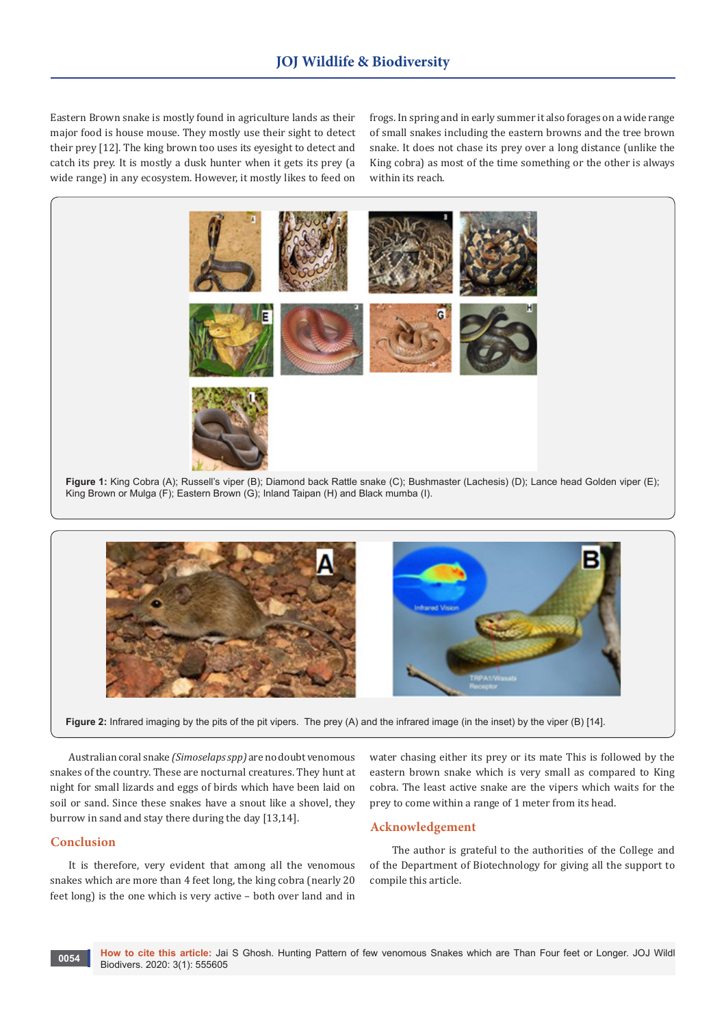Eastern Brown snake is mostly found in agriculture lands as their major food is house mouse. They mostly use their sight to detect their prey [12]. The king brown too uses its eyesight to detect and catch its prey. It is mostly a dusk hunter when it gets its prey (a wide range) in any ecosystem. However, it mostly likes to feed on frogs. In spring and in early summer it also forages on a wide range of small snakes including the eastern browns and the tree brown snake. It does not chase its prey over a long distance (unlike the King cobra) as most of the time something or the other is always within its reach.





Australian coral snake *(Simoselaps spp)* are no doubt venomous snakes of the country. These are nocturnal creatures. They hunt at night for small lizards and eggs of birds which have been laid on soil or sand. Since these snakes have a snout like a shovel, they burrow in sand and stay there during the day [13,14].

## **Conclusion**

It is therefore, very evident that among all the venomous snakes which are more than 4 feet long, the king cobra (nearly 20 feet long) is the one which is very active – both over land and in

water chasing either its prey or its mate This is followed by the eastern brown snake which is very small as compared to King cobra. The least active snake are the vipers which waits for the prey to come within a range of 1 meter from its head.

#### **Acknowledgement**

 The author is grateful to the authorities of the College and of the Department of Biotechnology for giving all the support to compile this article.